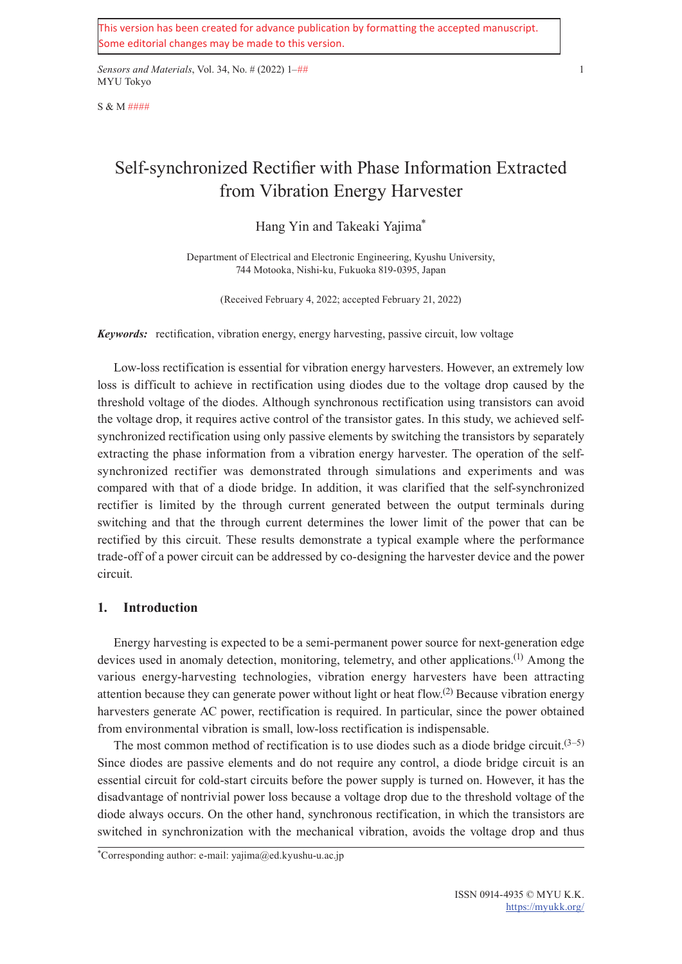This version has been created for advance publication by formatting the accepted manuscript. Some editorial changes may be made to this version.

*Sensors and Materials*, Vol. 34, No. # (2022) 1–## 1 MYU Tokyo

S & M ####

# Self-synchronized Rectifier with Phase Information Extracted from Vibration Energy Harvester

## Hang Yin and Takeaki Yajima\*

Department of Electrical and Electronic Engineering, Kyushu University, 744 Motooka, Nishi-ku, Fukuoka 819-0395, Japan

(Received February 4, 2022; accepted February 21, 2022)

*Keywords:* rectification, vibration energy, energy harvesting, passive circuit, low voltage

Low-loss rectification is essential for vibration energy harvesters. However, an extremely low loss is difficult to achieve in rectification using diodes due to the voltage drop caused by the threshold voltage of the diodes. Although synchronous rectification using transistors can avoid the voltage drop, it requires active control of the transistor gates. In this study, we achieved selfsynchronized rectification using only passive elements by switching the transistors by separately extracting the phase information from a vibration energy harvester. The operation of the selfsynchronized rectifier was demonstrated through simulations and experiments and was compared with that of a diode bridge. In addition, it was clarified that the self-synchronized rectifier is limited by the through current generated between the output terminals during switching and that the through current determines the lower limit of the power that can be rectified by this circuit. These results demonstrate a typical example where the performance trade-off of a power circuit can be addressed by co-designing the harvester device and the power circuit.

## **1. Introduction**

Energy harvesting is expected to be a semi-permanent power source for next-generation edge devices used in anomaly detection, monitoring, telemetry, and other applications.<sup>(1)</sup> Among the various energy-harvesting technologies, vibration energy harvesters have been attracting attention because they can generate power without light or heat flow.<sup>(2)</sup> Because vibration energy harvesters generate AC power, rectification is required. In particular, since the power obtained from environmental vibration is small, low-loss rectification is indispensable.

The most common method of rectification is to use diodes such as a diode bridge circuit.<sup> $(3-5)$ </sup> Since diodes are passive elements and do not require any control, a diode bridge circuit is an essential circuit for cold-start circuits before the power supply is turned on. However, it has the disadvantage of nontrivial power loss because a voltage drop due to the threshold voltage of the diode always occurs. On the other hand, synchronous rectification, in which the transistors are switched in synchronization with the mechanical vibration, avoids the voltage drop and thus

<sup>\*</sup>Corresponding author: e-mail: yajima@ed.kyushu-u.ac.jp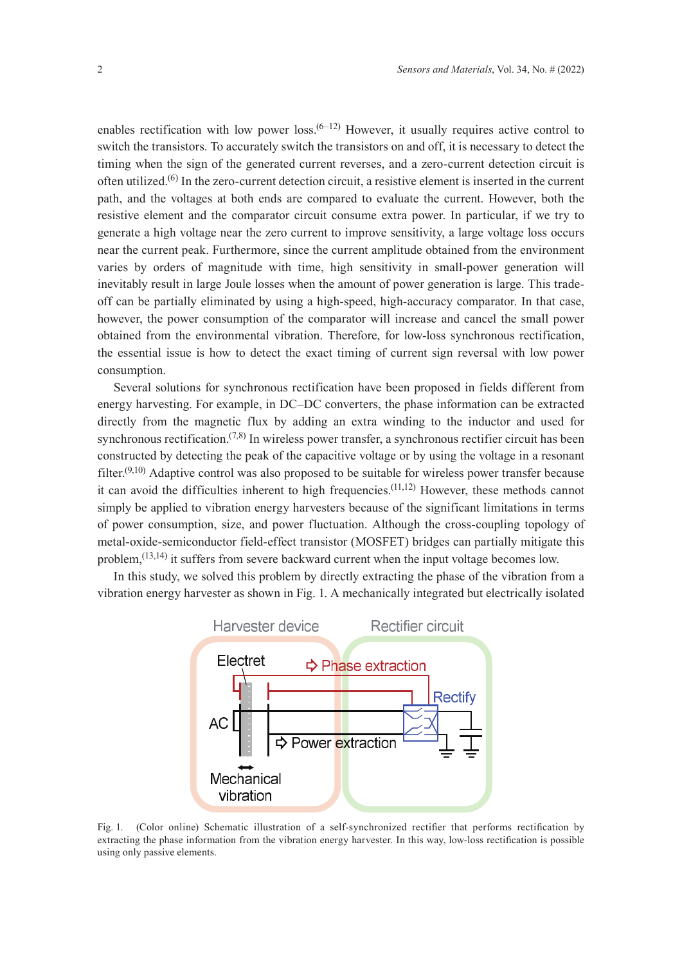enables rectification with low power loss.<sup> $(6-12)$ </sup> However, it usually requires active control to switch the transistors. To accurately switch the transistors on and off, it is necessary to detect the timing when the sign of the generated current reverses, and a zero-current detection circuit is often utilized.(6) In the zero-current detection circuit, a resistive element is inserted in the current path, and the voltages at both ends are compared to evaluate the current. However, both the resistive element and the comparator circuit consume extra power. In particular, if we try to generate a high voltage near the zero current to improve sensitivity, a large voltage loss occurs near the current peak. Furthermore, since the current amplitude obtained from the environment varies by orders of magnitude with time, high sensitivity in small-power generation will inevitably result in large Joule losses when the amount of power generation is large. This tradeoff can be partially eliminated by using a high-speed, high-accuracy comparator. In that case, however, the power consumption of the comparator will increase and cancel the small power obtained from the environmental vibration. Therefore, for low-loss synchronous rectification, the essential issue is how to detect the exact timing of current sign reversal with low power consumption.

Several solutions for synchronous rectification have been proposed in fields different from energy harvesting. For example, in DC–DC converters, the phase information can be extracted directly from the magnetic flux by adding an extra winding to the inductor and used for synchronous rectification.<sup> $(7,8)$ </sup> In wireless power transfer, a synchronous rectifier circuit has been constructed by detecting the peak of the capacitive voltage or by using the voltage in a resonant filter.<sup> $(9,10)$ </sup> Adaptive control was also proposed to be suitable for wireless power transfer because it can avoid the difficulties inherent to high frequencies.<sup> $(11,12)$ </sup> However, these methods cannot simply be applied to vibration energy harvesters because of the significant limitations in terms of power consumption, size, and power fluctuation. Although the cross-coupling topology of metal-oxide-semiconductor field-effect transistor (MOSFET) bridges can partially mitigate this problem,<sup>(13,14)</sup> it suffers from severe backward current when the input voltage becomes low.

In this study, we solved this problem by directly extracting the phase of the vibration from a vibration energy harvester as shown in Fig. 1. A mechanically integrated but electrically isolated



Fig. 1. (Color online) Schematic illustration of a self-synchronized rectifier that performs rectification by extracting the phase information from the vibration energy harvester. In this way, low-loss rectification is possible using only passive elements.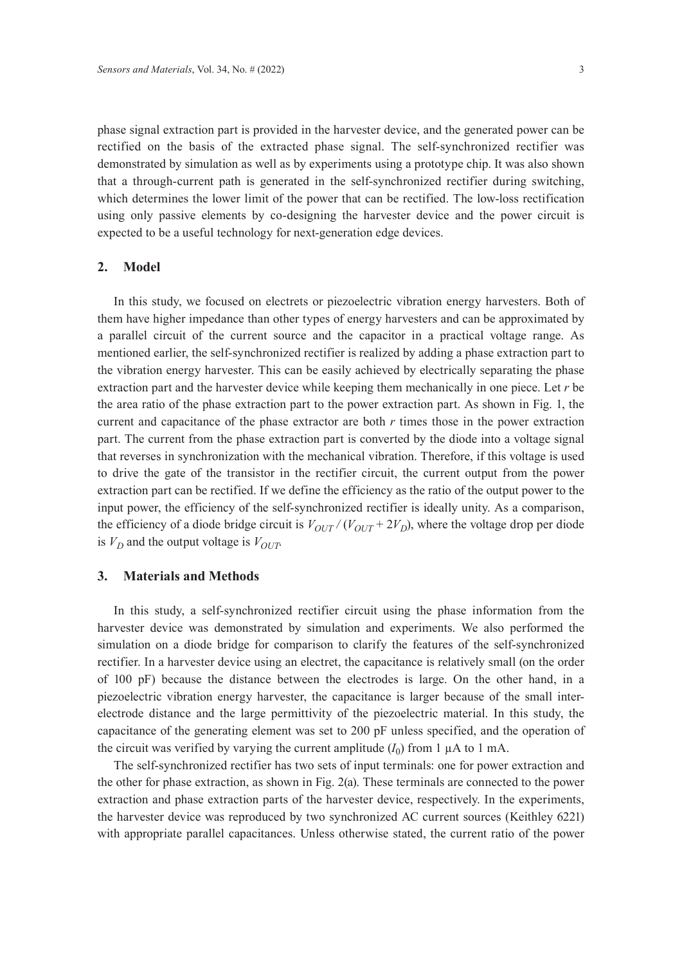phase signal extraction part is provided in the harvester device, and the generated power can be rectified on the basis of the extracted phase signal. The self-synchronized rectifier was demonstrated by simulation as well as by experiments using a prototype chip. It was also shown that a through-current path is generated in the self-synchronized rectifier during switching, which determines the lower limit of the power that can be rectified. The low-loss rectification using only passive elements by co-designing the harvester device and the power circuit is expected to be a useful technology for next-generation edge devices.

#### **2. Model**

In this study, we focused on electrets or piezoelectric vibration energy harvesters. Both of them have higher impedance than other types of energy harvesters and can be approximated by a parallel circuit of the current source and the capacitor in a practical voltage range. As mentioned earlier, the self-synchronized rectifier is realized by adding a phase extraction part to the vibration energy harvester. This can be easily achieved by electrically separating the phase extraction part and the harvester device while keeping them mechanically in one piece. Let *r* be the area ratio of the phase extraction part to the power extraction part. As shown in Fig. 1, the current and capacitance of the phase extractor are both *r* times those in the power extraction part. The current from the phase extraction part is converted by the diode into a voltage signal that reverses in synchronization with the mechanical vibration. Therefore, if this voltage is used to drive the gate of the transistor in the rectifier circuit, the current output from the power extraction part can be rectified. If we define the efficiency as the ratio of the output power to the input power, the efficiency of the self-synchronized rectifier is ideally unity. As a comparison, the efficiency of a diode bridge circuit is  $V_{OUT}/(V_{OUT} + 2V_D)$ , where the voltage drop per diode is  $V_D$  and the output voltage is  $V_{OUT}$ .

## **3. Materials and Methods**

In this study, a self-synchronized rectifier circuit using the phase information from the harvester device was demonstrated by simulation and experiments. We also performed the simulation on a diode bridge for comparison to clarify the features of the self-synchronized rectifier. In a harvester device using an electret, the capacitance is relatively small (on the order of 100 pF) because the distance between the electrodes is large. On the other hand, in a piezoelectric vibration energy harvester, the capacitance is larger because of the small interelectrode distance and the large permittivity of the piezoelectric material. In this study, the capacitance of the generating element was set to 200 pF unless specified, and the operation of the circuit was verified by varying the current amplitude  $(I_0)$  from 1  $\mu$ A to 1 mA.

The self-synchronized rectifier has two sets of input terminals: one for power extraction and the other for phase extraction, as shown in Fig. 2(a). These terminals are connected to the power extraction and phase extraction parts of the harvester device, respectively. In the experiments, the harvester device was reproduced by two synchronized AC current sources (Keithley 6221) with appropriate parallel capacitances. Unless otherwise stated, the current ratio of the power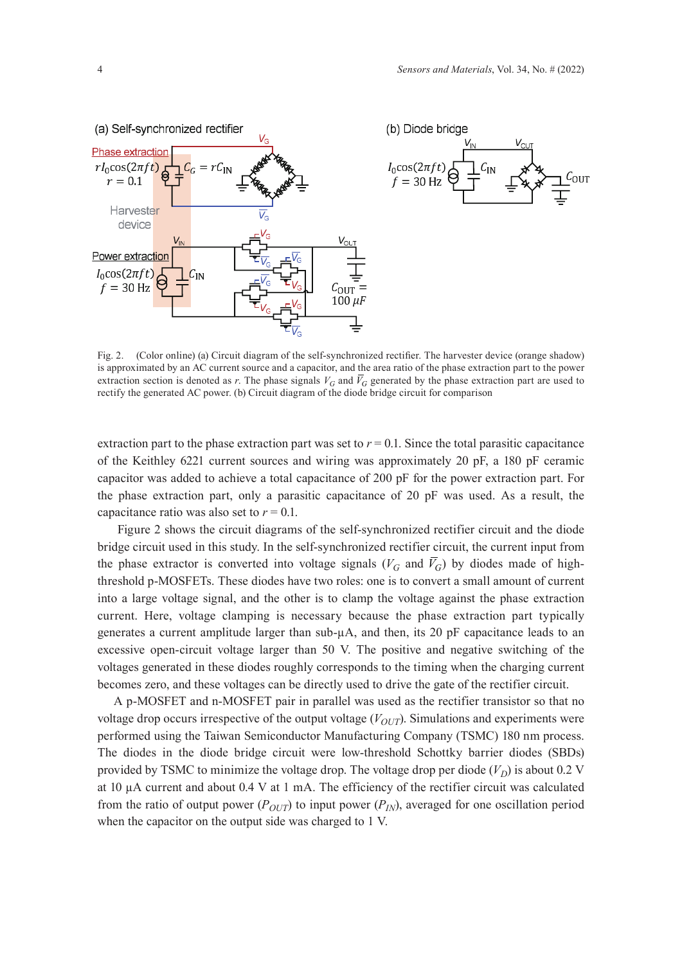



Fig. 2. (Color online) (a) Circuit diagram of the self-synchronized rectifier. The harvester device (orange shadow) is approximated by an AC current source and a capacitor, and the area ratio of the phase extraction part to the power extraction section is denoted as *r*. The phase signals  $V_G$  and  $\bar{V}_G$  generated by the phase extraction part are used to rectify the generated AC power. (b) Circuit diagram of the diode bridge circuit for comparison

extraction part to the phase extraction part was set to  $r = 0.1$ . Since the total parasitic capacitance of the Keithley 6221 current sources and wiring was approximately 20 pF, a 180 pF ceramic capacitor was added to achieve a total capacitance of 200 pF for the power extraction part. For the phase extraction part, only a parasitic capacitance of 20 pF was used. As a result, the capacitance ratio was also set to  $r = 0.1$ .

 Figure 2 shows the circuit diagrams of the self-synchronized rectifier circuit and the diode bridge circuit used in this study. In the self-synchronized rectifier circuit, the current input from the phase extractor is converted into voltage signals ( $V_G$  and  $\bar{V}_G$ ) by diodes made of highthreshold p-MOSFETs. These diodes have two roles: one is to convert a small amount of current into a large voltage signal, and the other is to clamp the voltage against the phase extraction current. Here, voltage clamping is necessary because the phase extraction part typically generates a current amplitude larger than sub-µA, and then, its 20 pF capacitance leads to an excessive open-circuit voltage larger than 50 V. The positive and negative switching of the voltages generated in these diodes roughly corresponds to the timing when the charging current becomes zero, and these voltages can be directly used to drive the gate of the rectifier circuit.

A p-MOSFET and n-MOSFET pair in parallel was used as the rectifier transistor so that no voltage drop occurs irrespective of the output voltage  $(V_{OUT})$ . Simulations and experiments were performed using the Taiwan Semiconductor Manufacturing Company (TSMC) 180 nm process. The diodes in the diode bridge circuit were low-threshold Schottky barrier diodes (SBDs) provided by TSMC to minimize the voltage drop. The voltage drop per diode  $(V_D)$  is about 0.2 V at 10 µA current and about 0.4 V at 1 mA. The efficiency of the rectifier circuit was calculated from the ratio of output power  $(P_{OUT})$  to input power  $(P_{IN})$ , averaged for one oscillation period when the capacitor on the output side was charged to 1 V.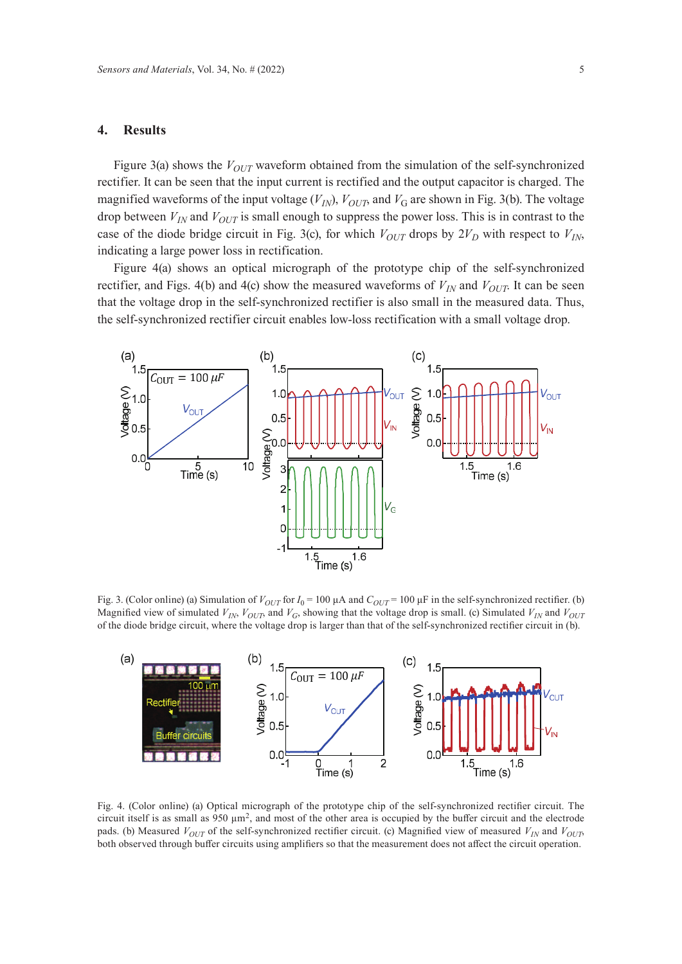### **4. Results**

Figure 3(a) shows the  $V_{OUT}$  waveform obtained from the simulation of the self-synchronized rectifier. It can be seen that the input current is rectified and the output capacitor is charged. The magnified waveforms of the input voltage  $(V_{IN})$ ,  $V_{OUT}$ , and  $V_G$  are shown in Fig. 3(b). The voltage drop between  $V_{IN}$  and  $V_{OUT}$  is small enough to suppress the power loss. This is in contrast to the case of the diode bridge circuit in Fig. 3(c), for which  $V_{OUT}$  drops by  $2V_D$  with respect to  $V_{IN}$ , indicating a large power loss in rectification.

Figure 4(a) shows an optical micrograph of the prototype chip of the self-synchronized rectifier, and Figs. 4(b) and 4(c) show the measured waveforms of  $V_{IN}$  and  $V_{OUP}$ . It can be seen that the voltage drop in the self-synchronized rectifier is also small in the measured data. Thus, the self-synchronized rectifier circuit enables low-loss rectification with a small voltage drop.



Fig. 3. (Color online) (a) Simulation of  $V_{OUT}$  for  $I_0 = 100 \mu A$  and  $C_{OUT} = 100 \mu F$  in the self-synchronized rectifier. (b) Magnified view of simulated  $V_{IN}$ ,  $V_{OUT}$ , and  $V_G$ , showing that the voltage drop is small. (c) Simulated  $V_{IN}$  and  $V_{OUT}$ of the diode bridge circuit, where the voltage drop is larger than that of the self-synchronized rectifier circuit in (b).



Fig. 4. (Color online) (a) Optical micrograph of the prototype chip of the self-synchronized rectifier circuit. The circuit itself is as small as 950  $\mu$ m<sup>2</sup>, and most of the other area is occupied by the buffer circuit and the electrode pads. (b) Measured  $V_{OUT}$  of the self-synchronized rectifier circuit. (c) Magnified view of measured  $V_{IN}$  and  $V_{OUT}$ both observed through buffer circuits using amplifiers so that the measurement does not affect the circuit operation.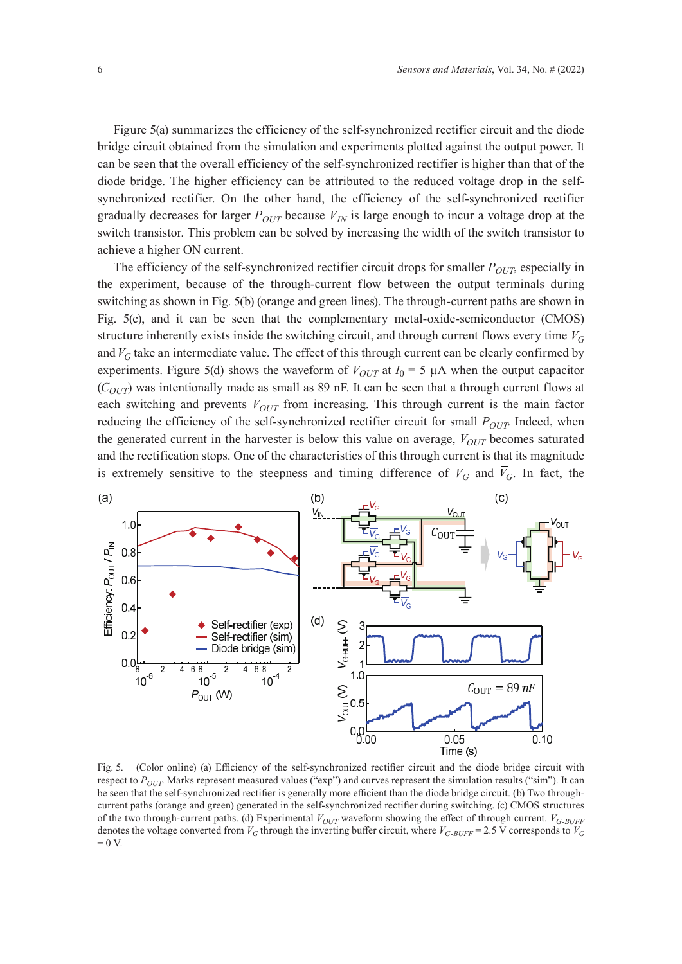Figure 5(a) summarizes the efficiency of the self-synchronized rectifier circuit and the diode bridge circuit obtained from the simulation and experiments plotted against the output power. It can be seen that the overall efficiency of the self-synchronized rectifier is higher than that of the diode bridge. The higher efficiency can be attributed to the reduced voltage drop in the selfsynchronized rectifier. On the other hand, the efficiency of the self-synchronized rectifier gradually decreases for larger  $P_{OUT}$  because  $V_{IN}$  is large enough to incur a voltage drop at the switch transistor. This problem can be solved by increasing the width of the switch transistor to achieve a higher ON current.

The efficiency of the self-synchronized rectifier circuit drops for smaller  $P_{OUT}$ , especially in the experiment, because of the through-current flow between the output terminals during switching as shown in Fig. 5(b) (orange and green lines). The through-current paths are shown in Fig. 5(c), and it can be seen that the complementary metal-oxide-semiconductor (CMOS) structure inherently exists inside the switching circuit, and through current flows every time *VG* and  $\bar{V}_G$  take an intermediate value. The effect of this through current can be clearly confirmed by experiments. Figure 5(d) shows the waveform of  $V_{OUT}$  at  $I_0 = 5 \mu A$  when the output capacitor  $(C_{OUT})$  was intentionally made as small as 89 nF. It can be seen that a through current flows at each switching and prevents  $V_{OUT}$  from increasing. This through current is the main factor reducing the efficiency of the self-synchronized rectifier circuit for small *P<sub>OUT</sub>*. Indeed, when the generated current in the harvester is below this value on average,  $V_{OUT}$  becomes saturated and the rectification stops. One of the characteristics of this through current is that its magnitude is extremely sensitive to the steepness and timing difference of  $V_G$  and  $\bar{V}_G$ . In fact, the



Fig. 5. (Color online) (a) Efficiency of the self-synchronized rectifier circuit and the diode bridge circuit with respect to  $P_{OUT}$ . Marks represent measured values ("exp") and curves represent the simulation results ("sim"). It can be seen that the self-synchronized rectifier is generally more efficient than the diode bridge circuit. (b) Two throughcurrent paths (orange and green) generated in the self-synchronized rectifier during switching. (c) CMOS structures of the two through-current paths. (d) Experimental *V*<sub>OUT</sub> waveform showing the effect of through current. *V<sub>G-BUFF</sub>* denotes the voltage converted from  $V_G$  through the inverting buffer circuit, where  $V_{G-BUFF}$  = 2.5 V corresponds to  $V_G$  $= 0 V.$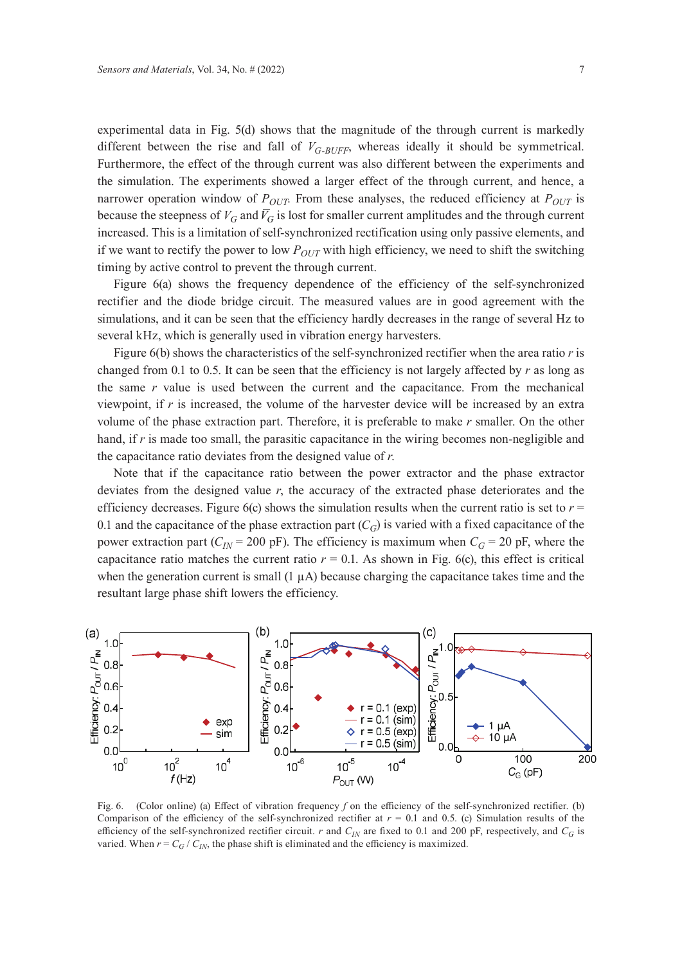experimental data in Fig. 5(d) shows that the magnitude of the through current is markedly different between the rise and fall of  $V_{G-RUFF}$ , whereas ideally it should be symmetrical. Furthermore, the effect of the through current was also different between the experiments and the simulation. The experiments showed a larger effect of the through current, and hence, a narrower operation window of  $P_{OUT}$ . From these analyses, the reduced efficiency at  $P_{OUT}$  is because the steepness of *VG* and *VG* is lost for smaller current amplitudes and the through current increased. This is a limitation of self-synchronized rectification using only passive elements, and if we want to rectify the power to low  $P_{OUT}$  with high efficiency, we need to shift the switching timing by active control to prevent the through current.

Figure 6(a) shows the frequency dependence of the efficiency of the self-synchronized rectifier and the diode bridge circuit. The measured values are in good agreement with the simulations, and it can be seen that the efficiency hardly decreases in the range of several Hz to several kHz, which is generally used in vibration energy harvesters.

Figure 6(b) shows the characteristics of the self-synchronized rectifier when the area ratio *r* is changed from 0.1 to 0.5. It can be seen that the efficiency is not largely affected by *r* as long as the same *r* value is used between the current and the capacitance. From the mechanical viewpoint, if  $r$  is increased, the volume of the harvester device will be increased by an extra volume of the phase extraction part. Therefore, it is preferable to make *r* smaller. On the other hand, if *r* is made too small, the parasitic capacitance in the wiring becomes non-negligible and the capacitance ratio deviates from the designed value of *r*.

Note that if the capacitance ratio between the power extractor and the phase extractor deviates from the designed value *r*, the accuracy of the extracted phase deteriorates and the efficiency decreases. Figure  $6(c)$  shows the simulation results when the current ratio is set to  $r =$ 0.1 and the capacitance of the phase extraction part  $(C_G)$  is varied with a fixed capacitance of the power extraction part ( $C_{IN}$  = 200 pF). The efficiency is maximum when  $C_G$  = 20 pF, where the capacitance ratio matches the current ratio  $r = 0.1$ . As shown in Fig. 6(c), this effect is critical when the generation current is small  $(1 \mu A)$  because charging the capacitance takes time and the resultant large phase shift lowers the efficiency.



Fig. 6. (Color online) (a) Effect of vibration frequency *f* on the efficiency of the self-synchronized rectifier. (b) Comparison of the efficiency of the self-synchronized rectifier at  $r = 0.1$  and 0.5. (c) Simulation results of the efficiency of the self-synchronized rectifier circuit. *r* and  $C_{IN}$  are fixed to 0.1 and 200 pF, respectively, and  $C_G$  is varied. When  $r = C_G / C_{IN}$ , the phase shift is eliminated and the efficiency is maximized.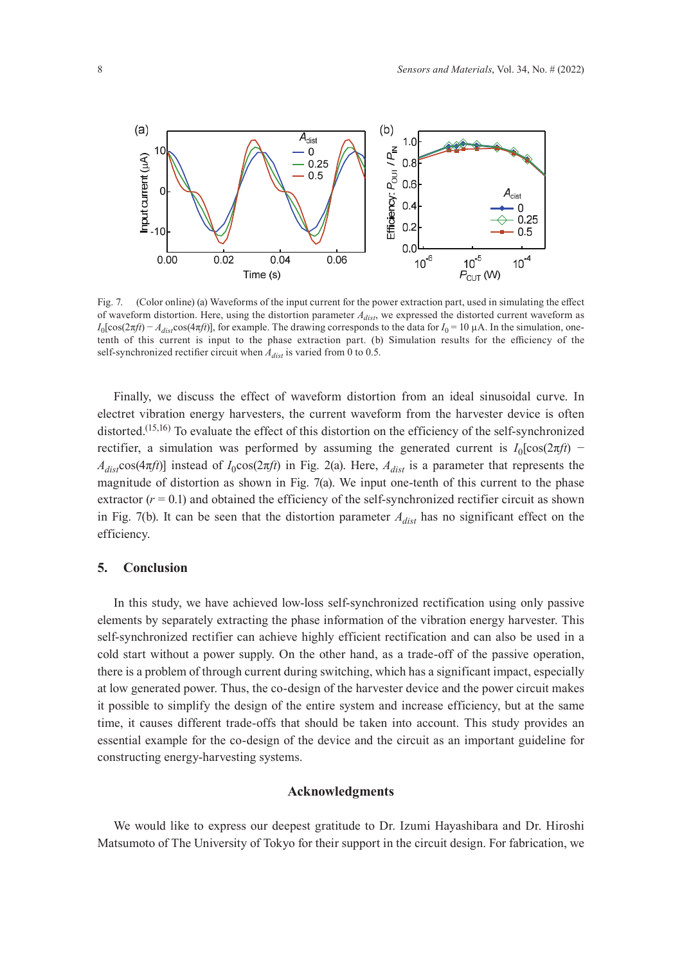

Fig. 7. (Color online) (a) Waveforms of the input current for the power extraction part, used in simulating the effect of waveform distortion. Here, using the distortion parameter *Adist*, we expressed the distorted current waveform as  $I_0$ [cos(2 $\pi f$ *t*) –  $A_{dist}$ cos(4 $\pi f$ *t*)], for example. The drawing corresponds to the data for  $I_0 = 10 \mu A$ . In the simulation, onetenth of this current is input to the phase extraction part. (b) Simulation results for the efficiency of the self-synchronized rectifier circuit when *Adist* is varied from 0 to 0.5.

Finally, we discuss the effect of waveform distortion from an ideal sinusoidal curve. In electret vibration energy harvesters, the current waveform from the harvester device is often distorted.<sup>(15,16)</sup> To evaluate the effect of this distortion on the efficiency of the self-synchronized rectifier, a simulation was performed by assuming the generated current is  $I_0$ [cos(2 $\pi f$ *t*) −  $A_{dist}$ cos(4 $\pi f$ t)] instead of  $I_0$ cos(2 $\pi f$ t) in Fig. 2(a). Here,  $A_{dist}$  is a parameter that represents the magnitude of distortion as shown in Fig. 7(a). We input one-tenth of this current to the phase extractor  $(r = 0.1)$  and obtained the efficiency of the self-synchronized rectifier circuit as shown in Fig. 7(b). It can be seen that the distortion parameter  $A_{dist}$  has no significant effect on the efficiency.

#### **5. Conclusion**

In this study, we have achieved low-loss self-synchronized rectification using only passive elements by separately extracting the phase information of the vibration energy harvester. This self-synchronized rectifier can achieve highly efficient rectification and can also be used in a cold start without a power supply. On the other hand, as a trade-off of the passive operation, there is a problem of through current during switching, which has a significant impact, especially at low generated power. Thus, the co-design of the harvester device and the power circuit makes it possible to simplify the design of the entire system and increase efficiency, but at the same time, it causes different trade-offs that should be taken into account. This study provides an essential example for the co-design of the device and the circuit as an important guideline for constructing energy-harvesting systems.

#### **Acknowledgments**

We would like to express our deepest gratitude to Dr. Izumi Hayashibara and Dr. Hiroshi Matsumoto of The University of Tokyo for their support in the circuit design. For fabrication, we